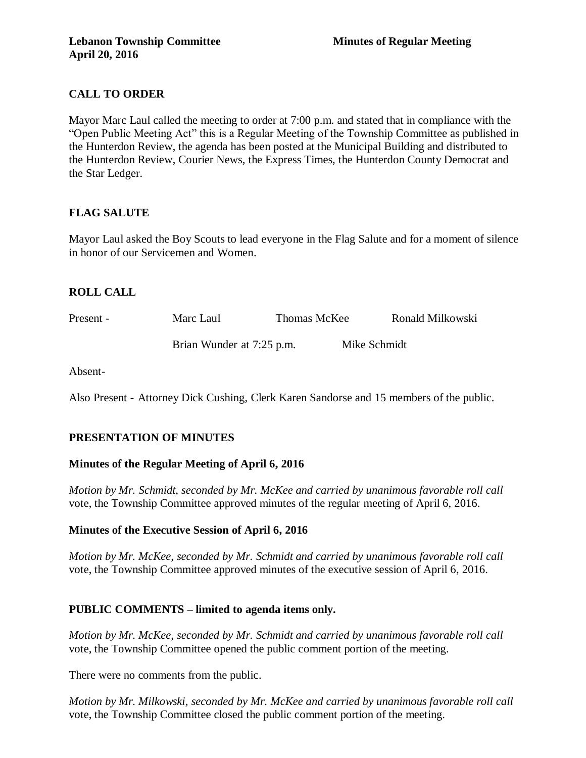# **CALL TO ORDER**

Mayor Marc Laul called the meeting to order at 7:00 p.m. and stated that in compliance with the "Open Public Meeting Act" this is a Regular Meeting of the Township Committee as published in the Hunterdon Review, the agenda has been posted at the Municipal Building and distributed to the Hunterdon Review, Courier News, the Express Times, the Hunterdon County Democrat and the Star Ledger.

## **FLAG SALUTE**

Mayor Laul asked the Boy Scouts to lead everyone in the Flag Salute and for a moment of silence in honor of our Servicemen and Women.

# **ROLL CALL**

| Present - | Marc Laul                 | Thomas McKee |              | Ronald Milkowski |
|-----------|---------------------------|--------------|--------------|------------------|
|           | Brian Wunder at 7:25 p.m. |              | Mike Schmidt |                  |

Absent-

Also Present - Attorney Dick Cushing, Clerk Karen Sandorse and 15 members of the public.

## **PRESENTATION OF MINUTES**

## **Minutes of the Regular Meeting of April 6, 2016**

*Motion by Mr. Schmidt, seconded by Mr. McKee and carried by unanimous favorable roll call*  vote, the Township Committee approved minutes of the regular meeting of April 6, 2016.

## **Minutes of the Executive Session of April 6, 2016**

*Motion by Mr. McKee, seconded by Mr. Schmidt and carried by unanimous favorable roll call*  vote, the Township Committee approved minutes of the executive session of April 6, 2016.

## **PUBLIC COMMENTS – limited to agenda items only.**

*Motion by Mr. McKee, seconded by Mr. Schmidt and carried by unanimous favorable roll call*  vote, the Township Committee opened the public comment portion of the meeting.

There were no comments from the public.

*Motion by Mr. Milkowski, seconded by Mr. McKee and carried by unanimous favorable roll call*  vote, the Township Committee closed the public comment portion of the meeting.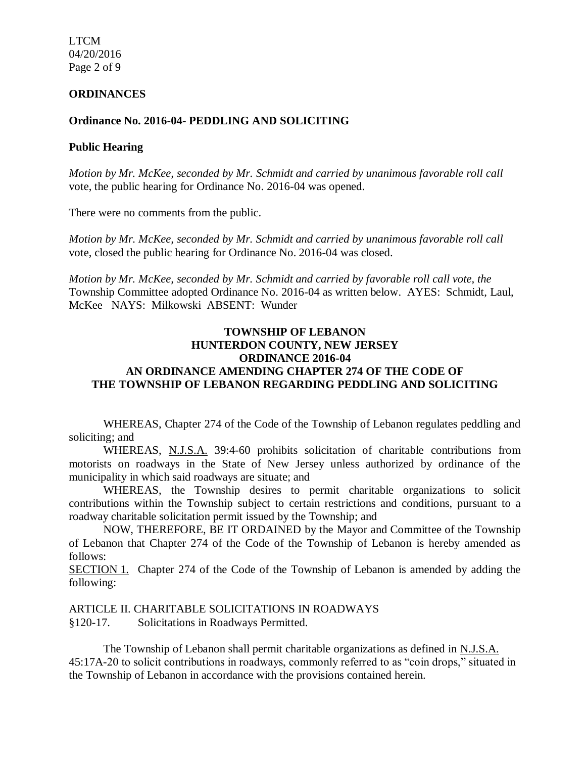LTCM 04/20/2016 Page 2 of 9

#### **ORDINANCES**

#### **Ordinance No. 2016-04- PEDDLING AND SOLICITING**

#### **Public Hearing**

*Motion by Mr. McKee, seconded by Mr. Schmidt and carried by unanimous favorable roll call*  vote, the public hearing for Ordinance No. 2016-04 was opened.

There were no comments from the public.

*Motion by Mr. McKee, seconded by Mr. Schmidt and carried by unanimous favorable roll call*  vote, closed the public hearing for Ordinance No. 2016-04 was closed.

*Motion by Mr. McKee, seconded by Mr. Schmidt and carried by favorable roll call vote, the* Township Committee adopted Ordinance No. 2016-04 as written below. AYES: Schmidt, Laul, McKee NAYS: Milkowski ABSENT: Wunder

### **TOWNSHIP OF LEBANON HUNTERDON COUNTY, NEW JERSEY ORDINANCE 2016-04 AN ORDINANCE AMENDING CHAPTER 274 OF THE CODE OF THE TOWNSHIP OF LEBANON REGARDING PEDDLING AND SOLICITING**

WHEREAS, Chapter 274 of the Code of the Township of Lebanon regulates peddling and soliciting; and

WHEREAS, N.J.S.A. 39:4-60 prohibits solicitation of charitable contributions from motorists on roadways in the State of New Jersey unless authorized by ordinance of the municipality in which said roadways are situate; and

WHEREAS, the Township desires to permit charitable organizations to solicit contributions within the Township subject to certain restrictions and conditions, pursuant to a roadway charitable solicitation permit issued by the Township; and

NOW, THEREFORE, BE IT ORDAINED by the Mayor and Committee of the Township of Lebanon that Chapter 274 of the Code of the Township of Lebanon is hereby amended as follows:

SECTION 1. Chapter 274 of the Code of the Township of Lebanon is amended by adding the following:

ARTICLE II. CHARITABLE SOLICITATIONS IN ROADWAYS

§120-17. Solicitations in Roadways Permitted.

The Township of Lebanon shall permit charitable organizations as defined in N.J.S.A. 45:17A-20 to solicit contributions in roadways, commonly referred to as "coin drops," situated in the Township of Lebanon in accordance with the provisions contained herein.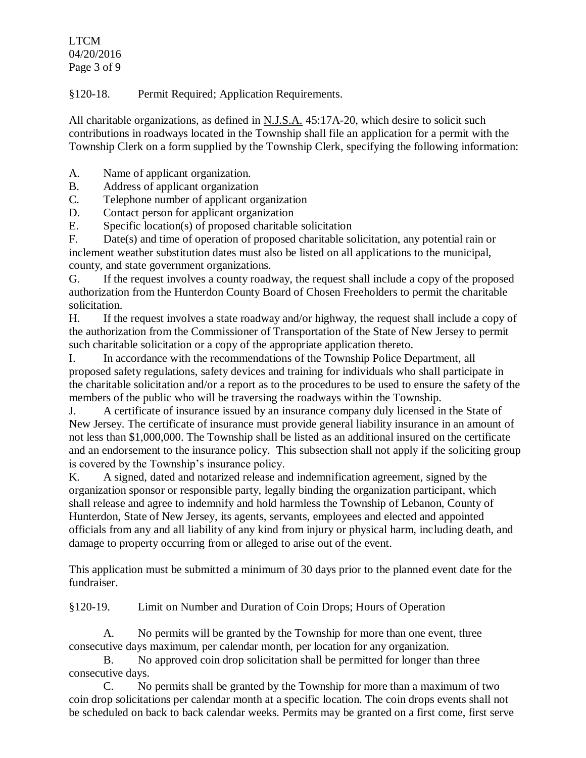LTCM 04/20/2016 Page 3 of 9

§120-18. Permit Required; Application Requirements.

All charitable organizations, as defined in N.J.S.A. 45:17A-20, which desire to solicit such contributions in roadways located in the Township shall file an application for a permit with the Township Clerk on a form supplied by the Township Clerk, specifying the following information:

- A. Name of applicant organization.
- B. Address of applicant organization
- C. Telephone number of applicant organization
- D. Contact person for applicant organization
- E. Specific location(s) of proposed charitable solicitation

F. Date(s) and time of operation of proposed charitable solicitation, any potential rain or inclement weather substitution dates must also be listed on all applications to the municipal, county, and state government organizations.

G. If the request involves a county roadway, the request shall include a copy of the proposed authorization from the Hunterdon County Board of Chosen Freeholders to permit the charitable solicitation.

H. If the request involves a state roadway and/or highway, the request shall include a copy of the authorization from the Commissioner of Transportation of the State of New Jersey to permit such charitable solicitation or a copy of the appropriate application thereto.

I. In accordance with the recommendations of the Township Police Department, all proposed safety regulations, safety devices and training for individuals who shall participate in the charitable solicitation and/or a report as to the procedures to be used to ensure the safety of the members of the public who will be traversing the roadways within the Township.

J. A certificate of insurance issued by an insurance company duly licensed in the State of New Jersey. The certificate of insurance must provide general liability insurance in an amount of not less than \$1,000,000. The Township shall be listed as an additional insured on the certificate and an endorsement to the insurance policy. This subsection shall not apply if the soliciting group is covered by the Township's insurance policy.

K. A signed, dated and notarized release and indemnification agreement, signed by the organization sponsor or responsible party, legally binding the organization participant, which shall release and agree to indemnify and hold harmless the Township of Lebanon, County of Hunterdon, State of New Jersey, its agents, servants, employees and elected and appointed officials from any and all liability of any kind from injury or physical harm, including death, and damage to property occurring from or alleged to arise out of the event.

This application must be submitted a minimum of 30 days prior to the planned event date for the fundraiser.

§120-19. Limit on Number and Duration of Coin Drops; Hours of Operation

A. No permits will be granted by the Township for more than one event, three consecutive days maximum, per calendar month, per location for any organization.

B. No approved coin drop solicitation shall be permitted for longer than three consecutive days.

C. No permits shall be granted by the Township for more than a maximum of two coin drop solicitations per calendar month at a specific location. The coin drops events shall not be scheduled on back to back calendar weeks. Permits may be granted on a first come, first serve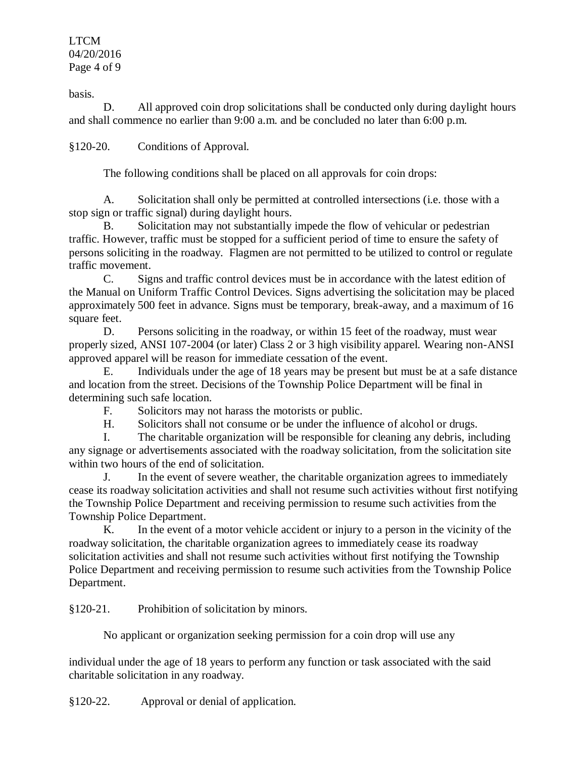LTCM 04/20/2016 Page 4 of 9

basis.

D. All approved coin drop solicitations shall be conducted only during daylight hours and shall commence no earlier than 9:00 a.m. and be concluded no later than 6:00 p.m.

§120-20. Conditions of Approval.

The following conditions shall be placed on all approvals for coin drops:

A. Solicitation shall only be permitted at controlled intersections (i.e. those with a stop sign or traffic signal) during daylight hours.

B. Solicitation may not substantially impede the flow of vehicular or pedestrian traffic. However, traffic must be stopped for a sufficient period of time to ensure the safety of persons soliciting in the roadway. Flagmen are not permitted to be utilized to control or regulate traffic movement.

C. Signs and traffic control devices must be in accordance with the latest edition of the Manual on Uniform Traffic Control Devices. Signs advertising the solicitation may be placed approximately 500 feet in advance. Signs must be temporary, break-away, and a maximum of 16 square feet.

D. Persons soliciting in the roadway, or within 15 feet of the roadway, must wear properly sized, ANSI 107-2004 (or later) Class 2 or 3 high visibility apparel. Wearing non-ANSI approved apparel will be reason for immediate cessation of the event.

E. Individuals under the age of 18 years may be present but must be at a safe distance and location from the street. Decisions of the Township Police Department will be final in determining such safe location.

F. Solicitors may not harass the motorists or public.

H. Solicitors shall not consume or be under the influence of alcohol or drugs.

I. The charitable organization will be responsible for cleaning any debris, including any signage or advertisements associated with the roadway solicitation, from the solicitation site within two hours of the end of solicitation.

J. In the event of severe weather, the charitable organization agrees to immediately cease its roadway solicitation activities and shall not resume such activities without first notifying the Township Police Department and receiving permission to resume such activities from the Township Police Department.

K. In the event of a motor vehicle accident or injury to a person in the vicinity of the roadway solicitation, the charitable organization agrees to immediately cease its roadway solicitation activities and shall not resume such activities without first notifying the Township Police Department and receiving permission to resume such activities from the Township Police Department.

§120-21. Prohibition of solicitation by minors.

No applicant or organization seeking permission for a coin drop will use any

individual under the age of 18 years to perform any function or task associated with the said charitable solicitation in any roadway.

§120-22. Approval or denial of application.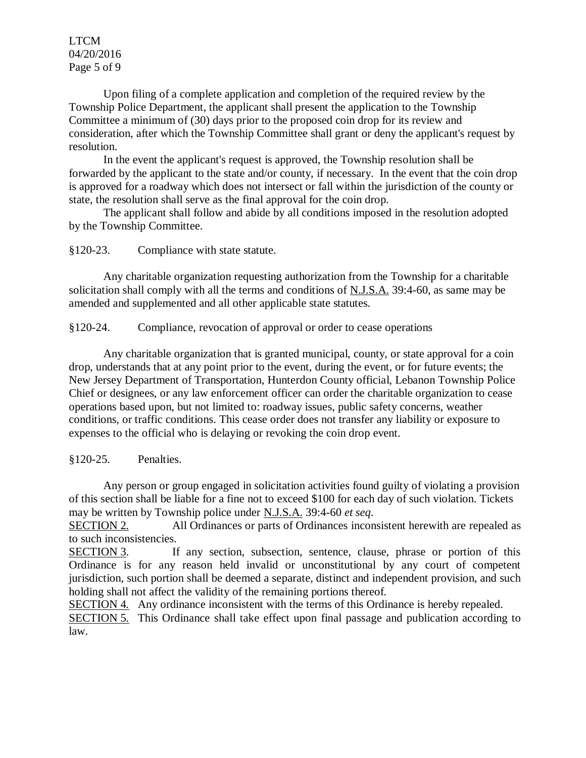LTCM 04/20/2016 Page 5 of 9

Upon filing of a complete application and completion of the required review by the Township Police Department, the applicant shall present the application to the Township Committee a minimum of (30) days prior to the proposed coin drop for its review and consideration, after which the Township Committee shall grant or deny the applicant's request by resolution.

In the event the applicant's request is approved, the Township resolution shall be forwarded by the applicant to the state and/or county, if necessary. In the event that the coin drop is approved for a roadway which does not intersect or fall within the jurisdiction of the county or state, the resolution shall serve as the final approval for the coin drop.

The applicant shall follow and abide by all conditions imposed in the resolution adopted by the Township Committee.

§120-23. Compliance with state statute.

Any charitable organization requesting authorization from the Township for a charitable solicitation shall comply with all the terms and conditions of N.J.S.A. 39:4-60, as same may be amended and supplemented and all other applicable state statutes.

§120-24. Compliance, revocation of approval or order to cease operations

Any charitable organization that is granted municipal, county, or state approval for a coin drop, understands that at any point prior to the event, during the event, or for future events; the New Jersey Department of Transportation, Hunterdon County official, Lebanon Township Police Chief or designees, or any law enforcement officer can order the charitable organization to cease operations based upon, but not limited to: roadway issues, public safety concerns, weather conditions, or traffic conditions. This cease order does not transfer any liability or exposure to expenses to the official who is delaying or revoking the coin drop event.

§120-25. Penalties.

Any person or group engaged in solicitation activities found guilty of violating a provision of this section shall be liable for a fine not to exceed \$100 for each day of such violation. Tickets may be written by Township police under N.J.S.A. 39:4-60 *et seq*.

SECTION 2. All Ordinances or parts of Ordinances inconsistent herewith are repealed as to such inconsistencies.

SECTION 3. If any section, subsection, sentence, clause, phrase or portion of this Ordinance is for any reason held invalid or unconstitutional by any court of competent jurisdiction, such portion shall be deemed a separate, distinct and independent provision, and such holding shall not affect the validity of the remaining portions thereof.

SECTION 4. Any ordinance inconsistent with the terms of this Ordinance is hereby repealed.

SECTION 5. This Ordinance shall take effect upon final passage and publication according to law.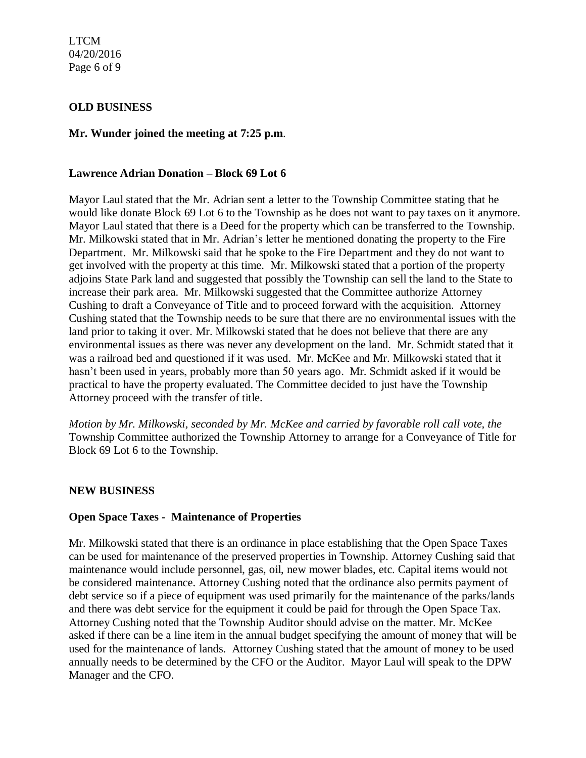LTCM 04/20/2016 Page 6 of 9

### **OLD BUSINESS**

### **Mr. Wunder joined the meeting at 7:25 p.m**.

#### **Lawrence Adrian Donation – Block 69 Lot 6**

Mayor Laul stated that the Mr. Adrian sent a letter to the Township Committee stating that he would like donate Block 69 Lot 6 to the Township as he does not want to pay taxes on it anymore. Mayor Laul stated that there is a Deed for the property which can be transferred to the Township. Mr. Milkowski stated that in Mr. Adrian's letter he mentioned donating the property to the Fire Department. Mr. Milkowski said that he spoke to the Fire Department and they do not want to get involved with the property at this time. Mr. Milkowski stated that a portion of the property adjoins State Park land and suggested that possibly the Township can sell the land to the State to increase their park area. Mr. Milkowski suggested that the Committee authorize Attorney Cushing to draft a Conveyance of Title and to proceed forward with the acquisition. Attorney Cushing stated that the Township needs to be sure that there are no environmental issues with the land prior to taking it over. Mr. Milkowski stated that he does not believe that there are any environmental issues as there was never any development on the land. Mr. Schmidt stated that it was a railroad bed and questioned if it was used. Mr. McKee and Mr. Milkowski stated that it hasn't been used in years, probably more than 50 years ago. Mr. Schmidt asked if it would be practical to have the property evaluated. The Committee decided to just have the Township Attorney proceed with the transfer of title.

*Motion by Mr. Milkowski, seconded by Mr. McKee and carried by favorable roll call vote, the* Township Committee authorized the Township Attorney to arrange for a Conveyance of Title for Block 69 Lot 6 to the Township.

### **NEW BUSINESS**

### **Open Space Taxes - Maintenance of Properties**

Mr. Milkowski stated that there is an ordinance in place establishing that the Open Space Taxes can be used for maintenance of the preserved properties in Township. Attorney Cushing said that maintenance would include personnel, gas, oil, new mower blades, etc. Capital items would not be considered maintenance. Attorney Cushing noted that the ordinance also permits payment of debt service so if a piece of equipment was used primarily for the maintenance of the parks/lands and there was debt service for the equipment it could be paid for through the Open Space Tax. Attorney Cushing noted that the Township Auditor should advise on the matter. Mr. McKee asked if there can be a line item in the annual budget specifying the amount of money that will be used for the maintenance of lands. Attorney Cushing stated that the amount of money to be used annually needs to be determined by the CFO or the Auditor. Mayor Laul will speak to the DPW Manager and the CFO.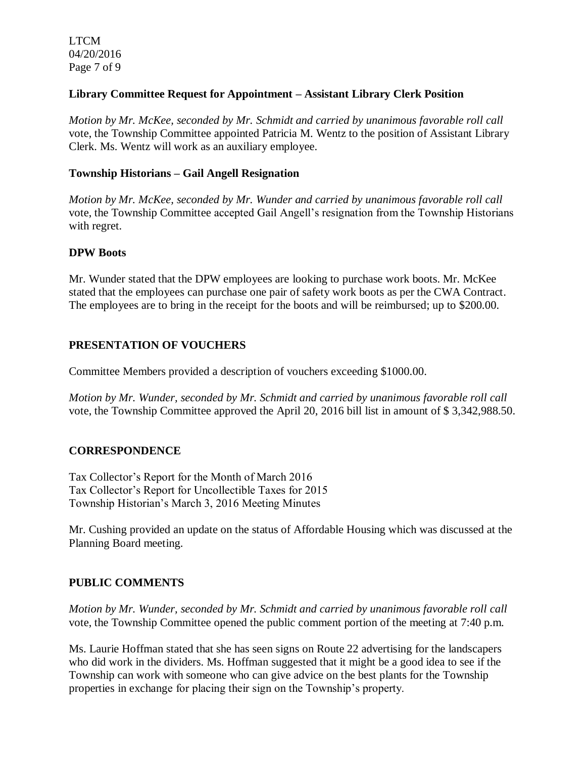LTCM 04/20/2016 Page 7 of 9

### **Library Committee Request for Appointment – Assistant Library Clerk Position**

*Motion by Mr. McKee, seconded by Mr. Schmidt and carried by unanimous favorable roll call*  vote, the Township Committee appointed Patricia M. Wentz to the position of Assistant Library Clerk. Ms. Wentz will work as an auxiliary employee.

### **Township Historians – Gail Angell Resignation**

*Motion by Mr. McKee, seconded by Mr. Wunder and carried by unanimous favorable roll call*  vote, the Township Committee accepted Gail Angell's resignation from the Township Historians with regret.

### **DPW Boots**

Mr. Wunder stated that the DPW employees are looking to purchase work boots. Mr. McKee stated that the employees can purchase one pair of safety work boots as per the CWA Contract. The employees are to bring in the receipt for the boots and will be reimbursed; up to \$200.00.

## **PRESENTATION OF VOUCHERS**

Committee Members provided a description of vouchers exceeding \$1000.00.

*Motion by Mr. Wunder, seconded by Mr. Schmidt and carried by unanimous favorable roll call*  vote, the Township Committee approved the April 20, 2016 bill list in amount of \$ 3,342,988.50.

## **CORRESPONDENCE**

Tax Collector's Report for the Month of March 2016 Tax Collector's Report for Uncollectible Taxes for 2015 Township Historian's March 3, 2016 Meeting Minutes

Mr. Cushing provided an update on the status of Affordable Housing which was discussed at the Planning Board meeting.

## **PUBLIC COMMENTS**

*Motion by Mr. Wunder, seconded by Mr. Schmidt and carried by unanimous favorable roll call* vote, the Township Committee opened the public comment portion of the meeting at 7:40 p.m.

Ms. Laurie Hoffman stated that she has seen signs on Route 22 advertising for the landscapers who did work in the dividers. Ms. Hoffman suggested that it might be a good idea to see if the Township can work with someone who can give advice on the best plants for the Township properties in exchange for placing their sign on the Township's property.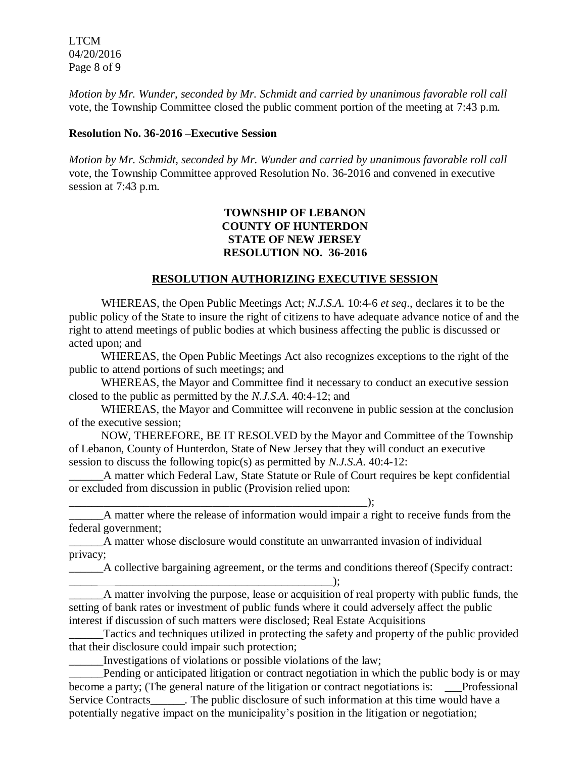LTCM 04/20/2016 Page 8 of 9

*Motion by Mr. Wunder, seconded by Mr. Schmidt and carried by unanimous favorable roll call* vote, the Township Committee closed the public comment portion of the meeting at 7:43 p.m.

#### **Resolution No. 36-2016 –Executive Session**

*Motion by Mr. Schmidt, seconded by Mr. Wunder and carried by unanimous favorable roll call*  vote, the Township Committee approved Resolution No. 36-2016 and convened in executive session at 7:43 p.m.

### **TOWNSHIP OF LEBANON COUNTY OF HUNTERDON STATE OF NEW JERSEY RESOLUTION NO. 36-2016**

### **RESOLUTION AUTHORIZING EXECUTIVE SESSION**

WHEREAS, the Open Public Meetings Act; *N.J.S.A.* 10:4-6 *et seq*., declares it to be the public policy of the State to insure the right of citizens to have adequate advance notice of and the right to attend meetings of public bodies at which business affecting the public is discussed or acted upon; and

WHEREAS, the Open Public Meetings Act also recognizes exceptions to the right of the public to attend portions of such meetings; and

WHEREAS, the Mayor and Committee find it necessary to conduct an executive session closed to the public as permitted by the *N.J.S.A*. 40:4-12; and

WHEREAS, the Mayor and Committee will reconvene in public session at the conclusion of the executive session;

NOW, THEREFORE, BE IT RESOLVED by the Mayor and Committee of the Township of Lebanon, County of Hunterdon, State of New Jersey that they will conduct an executive session to discuss the following topic(s) as permitted by *N.J.S.A*. 40:4-12:

A matter which Federal Law, State Statute or Rule of Court requires be kept confidential or excluded from discussion in public (Provision relied upon:

\_\_\_\_\_\_\_\_\_\_\_\_\_\_\_\_\_\_\_\_\_\_\_\_\_\_\_\_\_\_\_\_\_\_\_\_\_\_\_\_\_\_\_\_\_\_\_\_\_\_\_\_);

\_\_\_\_\_\_A matter where the release of information would impair a right to receive funds from the federal government;

\_\_\_\_\_\_A matter whose disclosure would constitute an unwarranted invasion of individual privacy;

\_\_\_\_\_\_A collective bargaining agreement, or the terms and conditions thereof (Specify contract:

\_\_\_\_\_ \_\_\_\_\_\_\_\_\_\_\_\_\_\_\_\_\_\_\_\_\_\_\_\_\_\_\_\_\_\_\_\_\_\_\_\_\_\_); A matter involving the purpose, lease or acquisition of real property with public funds, the setting of bank rates or investment of public funds where it could adversely affect the public interest if discussion of such matters were disclosed; Real Estate Acquisitions

Tactics and techniques utilized in protecting the safety and property of the public provided that their disclosure could impair such protection;

\_\_\_\_\_\_Investigations of violations or possible violations of the law;

Pending or anticipated litigation or contract negotiation in which the public body is or may become a party; (The general nature of the litigation or contract negotiations is: Professional Service Contracts\_\_\_\_\_\_. The public disclosure of such information at this time would have a potentially negative impact on the municipality's position in the litigation or negotiation;